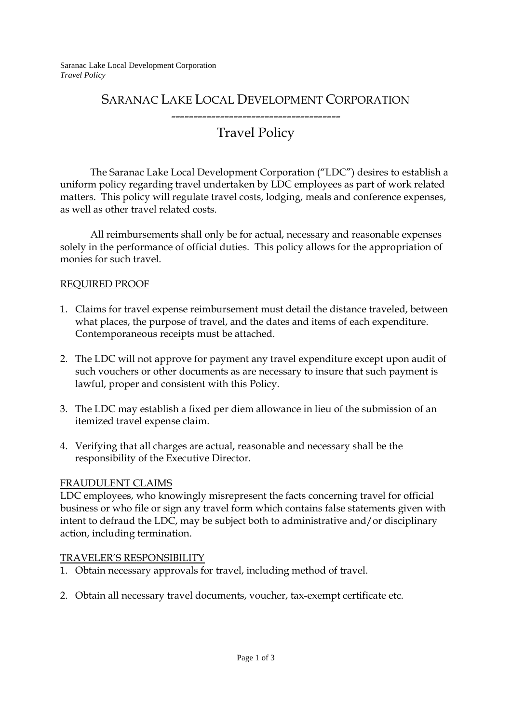Saranac Lake Local Development Corporation *Travel Policy* 

# SARANAC LAKE LOCAL DEVELOPMENT CORPORATION

## -------------------------------------- Travel Policy

### The Saranac Lake Local Development Corporation ("LDC") desires to establish a uniform policy regarding travel undertaken by LDC employees as part of work related matters. This policy will regulate travel costs, lodging, meals and conference expenses, as well as other travel related costs.

All reimbursements shall only be for actual, necessary and reasonable expenses solely in the performance of official duties. This policy allows for the appropriation of monies for such travel.

### REQUIRED PROOF

- 1. Claims for travel expense reimbursement must detail the distance traveled, between what places, the purpose of travel, and the dates and items of each expenditure. Contemporaneous receipts must be attached.
- 2. The LDC will not approve for payment any travel expenditure except upon audit of such vouchers or other documents as are necessary to insure that such payment is lawful, proper and consistent with this Policy.
- 3. The LDC may establish a fixed per diem allowance in lieu of the submission of an itemized travel expense claim.
- 4. Verifying that all charges are actual, reasonable and necessary shall be the responsibility of the Executive Director.

### FRAUDULENT CLAIMS

LDC employees, who knowingly misrepresent the facts concerning travel for official business or who file or sign any travel form which contains false statements given with intent to defraud the LDC, may be subject both to administrative and/or disciplinary action, including termination.

### TRAVELER'S RESPONSIBILITY

- 1. Obtain necessary approvals for travel, including method of travel.
- 2. Obtain all necessary travel documents, voucher, tax-exempt certificate etc.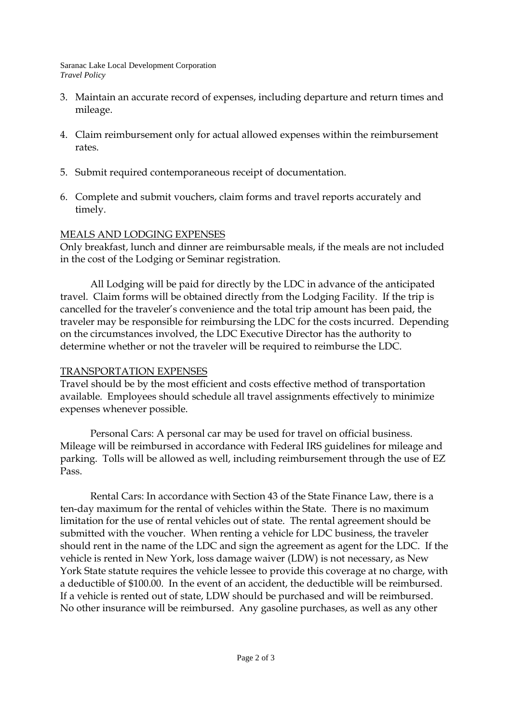Saranac Lake Local Development Corporation *Travel Policy* 

- 3. Maintain an accurate record of expenses, including departure and return times and mileage.
- 4. Claim reimbursement only for actual allowed expenses within the reimbursement rates.
- 5. Submit required contemporaneous receipt of documentation.
- 6. Complete and submit vouchers, claim forms and travel reports accurately and timely.

### MEALS AND LODGING EXPENSES

Only breakfast, lunch and dinner are reimbursable meals, if the meals are not included in the cost of the Lodging or Seminar registration.

 All Lodging will be paid for directly by the LDC in advance of the anticipated travel. Claim forms will be obtained directly from the Lodging Facility. If the trip is cancelled for the traveler's convenience and the total trip amount has been paid, the traveler may be responsible for reimbursing the LDC for the costs incurred. Depending on the circumstances involved, the LDC Executive Director has the authority to determine whether or not the traveler will be required to reimburse the LDC.

### TRANSPORTATION EXPENSES

Travel should be by the most efficient and costs effective method of transportation available. Employees should schedule all travel assignments effectively to minimize expenses whenever possible.

 Personal Cars: A personal car may be used for travel on official business. Mileage will be reimbursed in accordance with Federal IRS guidelines for mileage and parking. Tolls will be allowed as well, including reimbursement through the use of EZ Pass.

 Rental Cars: In accordance with Section 43 of the State Finance Law, there is a ten-day maximum for the rental of vehicles within the State. There is no maximum limitation for the use of rental vehicles out of state. The rental agreement should be submitted with the voucher. When renting a vehicle for LDC business, the traveler should rent in the name of the LDC and sign the agreement as agent for the LDC. If the vehicle is rented in New York, loss damage waiver (LDW) is not necessary, as New York State statute requires the vehicle lessee to provide this coverage at no charge, with a deductible of \$100.00. In the event of an accident, the deductible will be reimbursed. If a vehicle is rented out of state, LDW should be purchased and will be reimbursed. No other insurance will be reimbursed. Any gasoline purchases, as well as any other